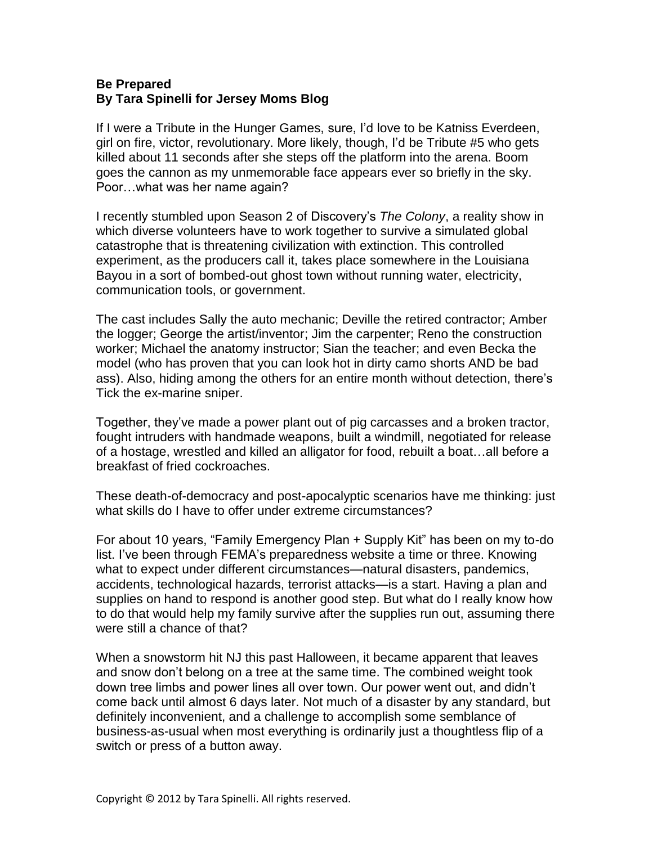## **Be Prepared By Tara Spinelli for Jersey Moms Blog**

If I were a Tribute in the Hunger Games, sure, I'd love to be Katniss Everdeen, girl on fire, victor, revolutionary. More likely, though, I'd be Tribute #5 who gets killed about 11 seconds after she steps off the platform into the arena. Boom goes the cannon as my unmemorable face appears ever so briefly in the sky. Poor…what was her name again?

I recently stumbled upon Season 2 of Discovery's *The Colony*, a reality show in which diverse volunteers have to work together to survive a simulated global catastrophe that is threatening civilization with extinction. This controlled experiment, as the producers call it, takes place somewhere in the Louisiana Bayou in a sort of bombed-out ghost town without running water, electricity, communication tools, or government.

The cast includes Sally the auto mechanic; Deville the retired contractor; Amber the logger; George the artist/inventor; Jim the carpenter; Reno the construction worker; Michael the anatomy instructor; Sian the teacher; and even Becka the model (who has proven that you can look hot in dirty camo shorts AND be bad ass). Also, hiding among the others for an entire month without detection, there's Tick the ex-marine sniper.

Together, they've made a power plant out of pig carcasses and a broken tractor, fought intruders with handmade weapons, built a windmill, negotiated for release of a hostage, wrestled and killed an alligator for food, rebuilt a boat…all before a breakfast of fried cockroaches.

These death-of-democracy and post-apocalyptic scenarios have me thinking: just what skills do I have to offer under extreme circumstances?

For about 10 years, "Family Emergency Plan + Supply Kit" has been on my to-do list. I've been through FEMA's preparedness website a time or three. Knowing what to expect under different circumstances—natural disasters, pandemics, accidents, technological hazards, terrorist attacks—is a start. Having a plan and supplies on hand to respond is another good step. But what do I really know how to do that would help my family survive after the supplies run out, assuming there were still a chance of that?

When a snowstorm hit NJ this past Halloween, it became apparent that leaves and snow don't belong on a tree at the same time. The combined weight took down tree limbs and power lines all over town. Our power went out, and didn't come back until almost 6 days later. Not much of a disaster by any standard, but definitely inconvenient, and a challenge to accomplish some semblance of business-as-usual when most everything is ordinarily just a thoughtless flip of a switch or press of a button away.